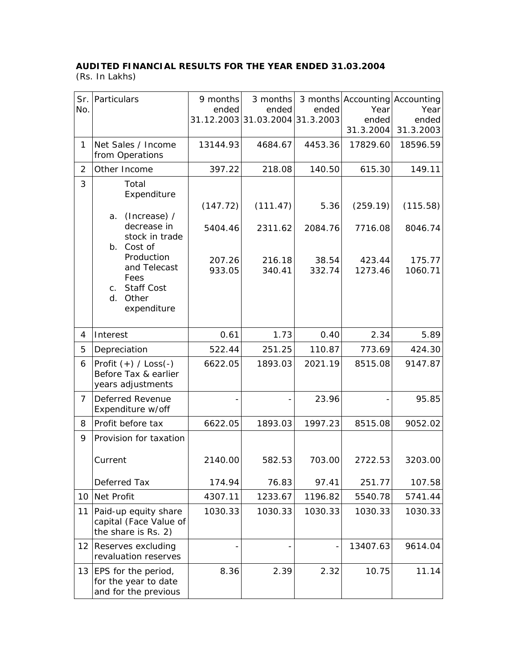## **AUDITED FINANCIAL RESULTS FOR THE YEAR ENDED 31.03.2004**

(Rs. In Lakhs)

| No.            | Sr. Particulars                                                                                         | 9 months<br>ended | 3 months<br>ended<br>31.12.2003 31.03.2004 31.3.2003 | ended           | 3 months Accounting Accounting<br>Year<br>ended | Year<br>ended     |
|----------------|---------------------------------------------------------------------------------------------------------|-------------------|------------------------------------------------------|-----------------|-------------------------------------------------|-------------------|
|                |                                                                                                         |                   |                                                      |                 | 31.3.2004                                       | 31.3.2003         |
| 1              | Net Sales / Income<br>from Operations                                                                   | 13144.93          | 4684.67                                              | 4453.36         | 17829.60                                        | 18596.59          |
| 2              | Other Income                                                                                            | 397.22            | 218.08                                               | 140.50          | 615.30                                          | 149.11            |
| 3              | Total<br>Expenditure<br>(Increase) /<br>a.                                                              | (147.72)          | (111.47)                                             | 5.36            | (259.19)                                        | (115.58)          |
|                | decrease in<br>stock in trade<br>b. Cost of                                                             | 5404.46           | 2311.62                                              | 2084.76         | 7716.08                                         | 8046.74           |
|                | Production<br>and Telecast<br>Fees<br><b>Staff Cost</b><br>$\mathsf{C}$ .<br>Other<br>d.<br>expenditure | 207.26<br>933.05  | 216.18<br>340.41                                     | 38.54<br>332.74 | 423.44<br>1273.46                               | 175.77<br>1060.71 |
| 4              | Interest                                                                                                | 0.61              | 1.73                                                 | 0.40            | 2.34                                            | 5.89              |
| 5              | Depreciation                                                                                            | 522.44            | 251.25                                               | 110.87          | 773.69                                          | 424.30            |
| 6              | Profit $(+)$ / Loss $(-)$<br>Before Tax & earlier<br>years adjustments                                  | 6622.05           | 1893.03                                              | 2021.19         | 8515.08                                         | 9147.87           |
| $\overline{7}$ | Deferred Revenue<br>Expenditure w/off                                                                   |                   |                                                      | 23.96           |                                                 | 95.85             |
| 8              | Profit before tax                                                                                       | 6622.05           | 1893.03                                              | 1997.23         | 8515.08                                         | 9052.02           |
| 9              | Provision for taxation                                                                                  |                   |                                                      |                 |                                                 |                   |
|                | Current                                                                                                 | 2140.00           | 582.53                                               | 703.00          | 2722.53                                         | 3203.00           |
|                | Deferred Tax                                                                                            | 174.94            | 76.83                                                | 97.41           | 251.77                                          | 107.58            |
|                | 10 Net Profit                                                                                           | 4307.11           | 1233.67                                              | 1196.82         | 5540.78                                         | 5741.44           |
| 11             | Paid-up equity share<br>capital (Face Value of<br>the share is Rs. 2)                                   | 1030.33           | 1030.33                                              | 1030.33         | 1030.33                                         | 1030.33           |
| 12             | Reserves excluding<br>revaluation reserves                                                              |                   |                                                      |                 | 13407.63                                        | 9614.04           |
|                | 13   EPS for the period,<br>for the year to date<br>and for the previous                                | 8.36              | 2.39                                                 | 2.32            | 10.75                                           | 11.14             |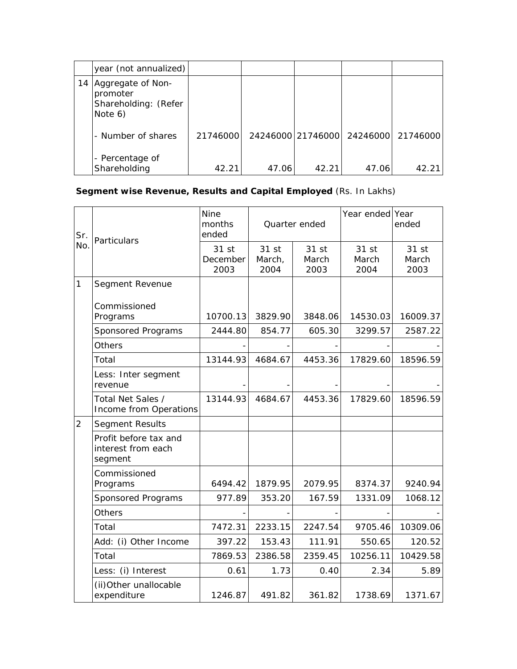|    | year (not annualized)                                            |          |       |                   |       |                   |
|----|------------------------------------------------------------------|----------|-------|-------------------|-------|-------------------|
| 14 | Aggregate of Non-<br>promoter<br>Shareholding: (Refer<br>Note 6) |          |       |                   |       |                   |
|    | - Number of shares                                               | 21746000 |       | 24246000 21746000 |       | 24246000 21746000 |
|    | - Percentage of<br>Shareholding                                  | 42.21    | 47.06 | 42.21             | 47.06 | 42.21             |

## **Segment wise Revenue, Results and Capital Employed** (Rs. In Lakhs)

| Sr.<br>No.     | Particulars                                            | <b>Nine</b><br>months<br>ended | Quarter ended           |                        | Year ended Year        | ended                  |
|----------------|--------------------------------------------------------|--------------------------------|-------------------------|------------------------|------------------------|------------------------|
|                |                                                        | 31 st<br>December<br>2003      | 31 st<br>March,<br>2004 | 31 st<br>March<br>2003 | 31 st<br>March<br>2004 | 31 st<br>March<br>2003 |
| 1              | Segment Revenue                                        |                                |                         |                        |                        |                        |
|                | Commissioned<br>Programs                               | 10700.13                       | 3829.90                 | 3848.06                | 14530.03               | 16009.37               |
|                | Sponsored Programs                                     | 2444.80                        | 854.77                  | 605.30                 | 3299.57                | 2587.22                |
|                | Others                                                 |                                |                         |                        |                        |                        |
|                | Total                                                  | 13144.93                       | 4684.67                 | 4453.36                | 17829.60               | 18596.59               |
|                | Less: Inter segment<br>revenue                         |                                |                         |                        |                        |                        |
|                | Total Net Sales /<br>Income from Operations            | 13144.93                       | 4684.67                 | 4453.36                | 17829.60               | 18596.59               |
| $\overline{2}$ | Segment Results                                        |                                |                         |                        |                        |                        |
|                | Profit before tax and<br>interest from each<br>segment |                                |                         |                        |                        |                        |
|                | Commissioned<br>Programs                               | 6494.42                        | 1879.95                 | 2079.95                | 8374.37                | 9240.94                |
|                | Sponsored Programs                                     | 977.89                         | 353.20                  | 167.59                 | 1331.09                | 1068.12                |
|                | Others                                                 |                                |                         |                        |                        |                        |
|                | Total                                                  | 7472.31                        | 2233.15                 | 2247.54                | 9705.46                | 10309.06               |
|                | Add: (i) Other Income                                  | 397.22                         | 153.43                  | 111.91                 | 550.65                 | 120.52                 |
|                | Total                                                  | 7869.53                        | 2386.58                 | 2359.45                | 10256.11               | 10429.58               |
|                | Less: (i) Interest                                     | 0.61                           | 1.73                    | 0.40                   | 2.34                   | 5.89                   |
|                | (ii) Other unallocable<br>expenditure                  | 1246.87                        | 491.82                  | 361.82                 | 1738.69                | 1371.67                |